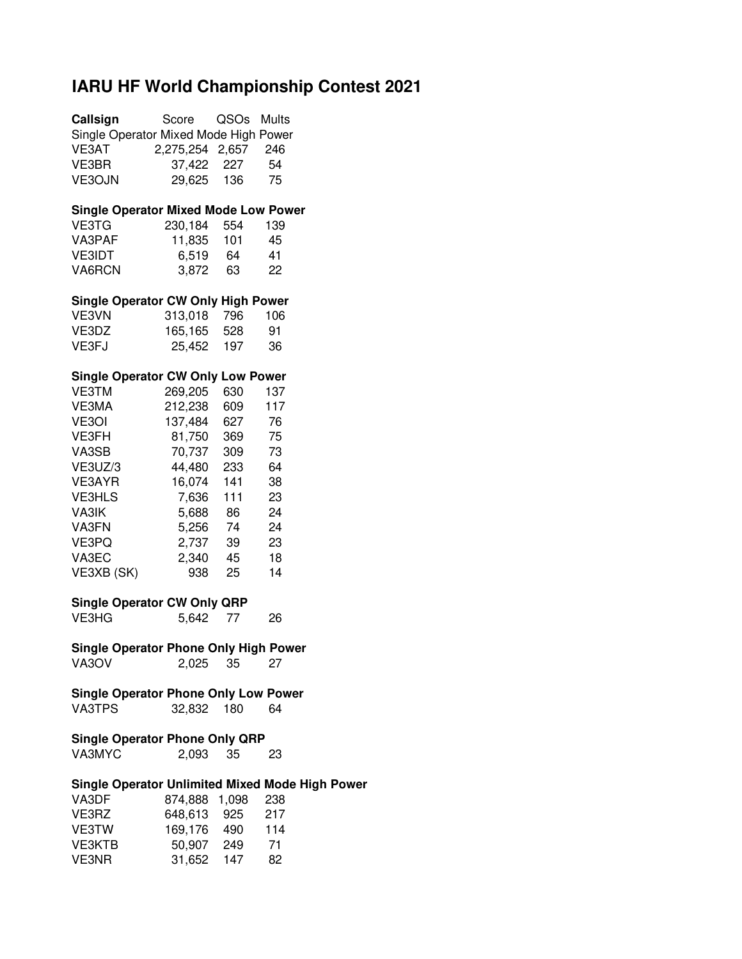### **IARU HF World Championship Contest 2021**

| Callsign                                    | Score           | QSOs Mults |                                                        |
|---------------------------------------------|-----------------|------------|--------------------------------------------------------|
| Single Operator Mixed Mode High Power       |                 |            |                                                        |
| VE3AT                                       | 2,275,254 2,657 |            | 246                                                    |
| VE3BR                                       |                 | 227        | 54                                                     |
|                                             | 37,422          |            |                                                        |
| VE3OJN                                      | 29,625          | 136        | 75                                                     |
|                                             |                 |            |                                                        |
| <b>Single Operator Mixed Mode Low Power</b> |                 |            |                                                        |
| VE3TG                                       | 230,184 554     |            | 139                                                    |
| VA3PAF                                      | 11,835 101      |            | 45                                                     |
| <b>VE3IDT</b>                               | 6,519 64        |            | 41                                                     |
| VA6RCN                                      | 3,872 63        |            | 22                                                     |
|                                             |                 |            |                                                        |
| <b>Single Operator CW Only High Power</b>   |                 |            |                                                        |
| VE3VN                                       | 313,018 796     |            | 106                                                    |
| VE3DZ                                       | 165,165         | 528        | 91                                                     |
| VE3FJ                                       | 25,452 197      |            | 36                                                     |
|                                             |                 |            |                                                        |
| <b>Single Operator CW Only Low Power</b>    |                 |            |                                                        |
| <b>VE3TM</b>                                | 269,205 630     |            | 137                                                    |
| VE3MA                                       | 212,238 609     |            | 117                                                    |
| VE3OI                                       | 137,484 627     |            |                                                        |
|                                             |                 |            | - 76                                                   |
| VE3FH                                       | 81,750          | 369        | 75                                                     |
| VA3SB                                       | 70,737          | 309        | 73                                                     |
| VE3UZ/3                                     | 44,480          | 233        | 64                                                     |
| VE3AYR                                      | 16,074          | 141        | 38                                                     |
| <b>VE3HLS</b>                               | 7,636           | 111        | 23                                                     |
| VA3IK                                       |                 |            | 24                                                     |
|                                             | 5,688 86        |            |                                                        |
| VA3FN                                       | 5,256 74        |            | 24                                                     |
| VE3PQ                                       | 2,737 39        |            | 23                                                     |
| VA3EC                                       | 2,340 45        |            | 18                                                     |
| VE3XB (SK)                                  | 938             | 25         | 14                                                     |
|                                             |                 |            |                                                        |
| <b>Single Operator CW Only QRP</b>          |                 |            |                                                        |
| VE3HG                                       | 5,642           | 77         | 26                                                     |
|                                             |                 |            |                                                        |
| Single Operator Phone Only High Power       |                 |            |                                                        |
| VA3OV                                       | 2,025           | 35         | 27                                                     |
| <b>Single Operator Phone Only Low Power</b> |                 |            |                                                        |
|                                             |                 |            |                                                        |
| VA3TPS                                      | 32,832          | 180        | 64                                                     |
| <b>Single Operator Phone Only QRP</b>       |                 |            |                                                        |
|                                             |                 |            |                                                        |
| VA3MYC                                      | 2,093           | 35         | 23                                                     |
|                                             |                 |            | <b>Single Operator Unlimited Mixed Mode High Power</b> |
| VA3DF                                       | 874,888         | 1,098      | 238                                                    |
|                                             |                 |            |                                                        |
| VE3RZ                                       | 648,613 925     |            | 217                                                    |
| VE3TW                                       | 169,176 490     |            | 114                                                    |
| <b>VE3KTB</b>                               | 50,907 249      |            | 71                                                     |
| VE3NR                                       | 31,652          | 147        | 82                                                     |